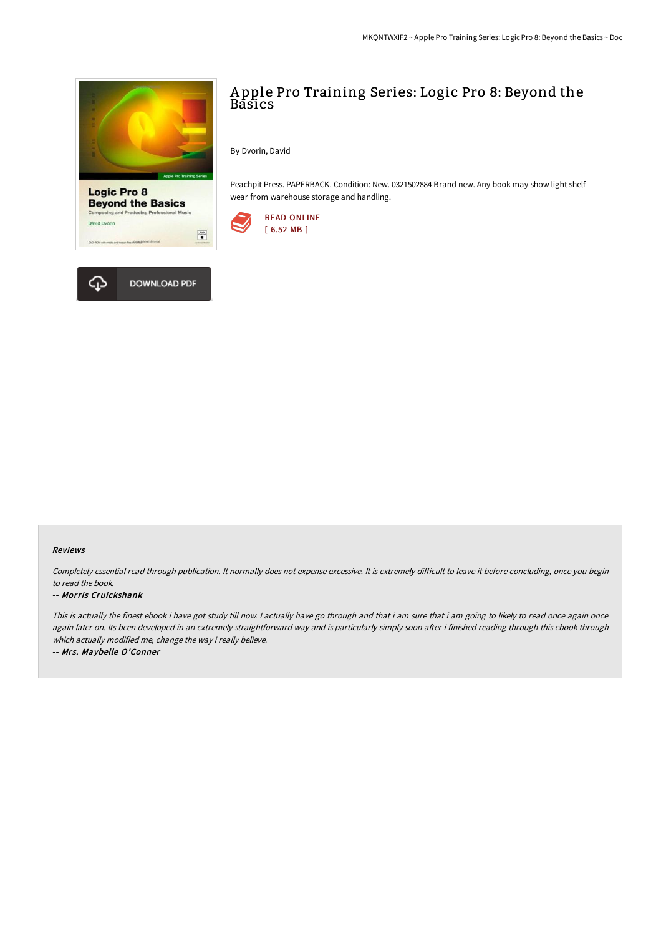



By Dvorin, David

Peachpit Press. PAPERBACK. Condition: New. 0321502884 Brand new. Any book may show light shelf wear from warehouse storage and handling.



 $\begin{tabular}{|c|c|} \hline \hline \multicolumn{1}{|c|}{\textbf{1}} & \multicolumn{1}{|c|}{\textbf{1}} \\ \hline \multicolumn{1}{|c|}{\textbf{2}} & \multicolumn{1}{|c|}{\textbf{3}} \\ \hline \multicolumn{1}{|c|}{\textbf{4}} & \multicolumn{1}{|c|}{\textbf{5}} \\ \hline \multicolumn{1}{|c|}{\textbf{5}} & \multicolumn{1}{|c|}{\textbf{6}} \\ \hline \multicolumn{1}{|c|}{\textbf{6}} & \multicolumn{1}{|c|}{\textbf{6}} \\ \hline \multicolumn{1}{$ 



Di wid Dvori

## Reviews

Completely essential read through publication. It normally does not expense excessive. It is extremely difficult to leave it before concluding, once you begin to read the book.

## -- Morris Cruickshank

This is actually the finest ebook i have got study till now. I actually have go through and that i am sure that i am going to likely to read once again once again later on. Its been developed in an extremely straightforward way and is particularly simply soon after i finished reading through this ebook through which actually modified me, change the way i really believe.

-- Mrs. Maybelle O'Conner